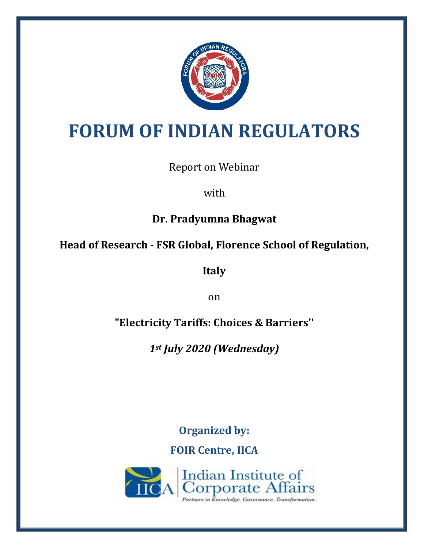

# **FORUM OF INDIAN REGULATORS**

Report on Webinar

with

**Dr. Pradyumna Bhagwat**

**Head of Research - FSR Global, Florence School of Regulation,** 

**Italy**

on

**"Electricity Tariffs: Choices & Barriers''**

*1st July 2020 (Wednesday)*

**Organized by: FOIR Centre, IICA**

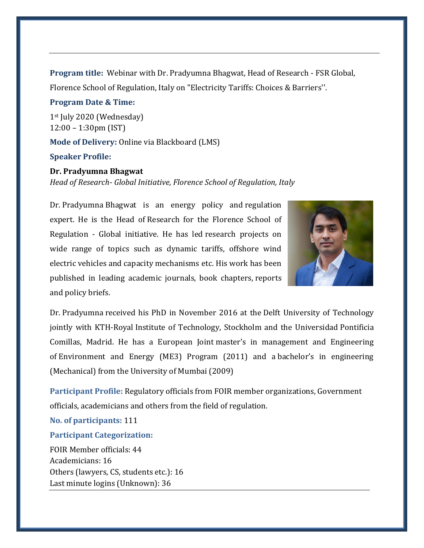**Program title:** Webinar with Dr. Pradyumna Bhagwat, Head of Research - FSR Global, Florence School of Regulation, Italy on "Electricity Tariffs: Choices & Barriers''.

#### **Program Date & Time:**

1st July 2020 (Wednesday) 12:00 – 1:30pm (IST) **Mode of Delivery:** Online via Blackboard (LMS)

## **Speaker Profile:**

## **Dr. Pradyumna Bhagwat**

*Head of Research- Global Initiative, Florence School of Regulation, Italy*

Dr. Pradyumna Bhagwat is an energy policy and regulation expert. He is the Head of Research for the Florence School of Regulation - Global initiative. He has led research projects on wide range of topics such as dynamic tariffs, offshore wind electric vehicles and capacity mechanisms etc. His work has been published in leading academic journals, book chapters, reports and policy briefs.



Dr. Pradyumna received his PhD in November 2016 at the Delft University of Technology jointly with KTH-Royal Institute of Technology, Stockholm and the Universidad Pontificia Comillas, Madrid. He has a European Joint master's in management and Engineering of Environment and Energy (ME3) Program (2011) and a bachelor's in engineering (Mechanical) from the University of Mumbai (2009)

**Participant Profile:** Regulatory officials from FOIR member organizations, Government officials, academicians and others from the field of regulation.

**No. of participants:** 111

### **Participant Categorization:**

FOIR Member officials: 44 Academicians: 16 Others (lawyers, CS, students etc.): 16 Last minute logins (Unknown): 36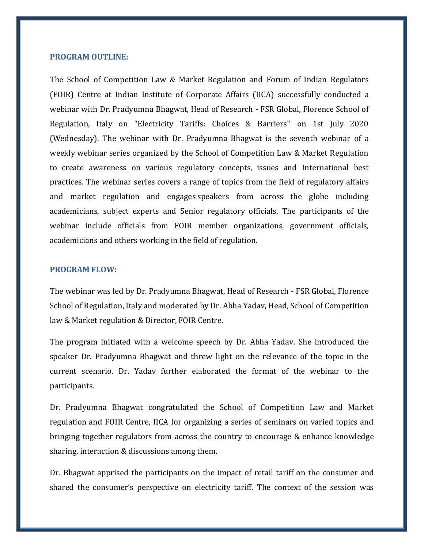#### **PROGRAM OUTLINE:**

The School of Competition Law & Market Regulation and Forum of Indian Regulators (FOIR) Centre at Indian Institute of Corporate Affairs (IICA) successfully conducted a webinar with Dr. Pradyumna Bhagwat, Head of Research - FSR Global, Florence School of Regulation, Italy on "Electricity Tariffs: Choices & Barriers'' on 1st July 2020 (Wednesday). The webinar with Dr. Pradyumna Bhagwat is the seventh webinar of a weekly webinar series organized by the School of Competition Law & Market Regulation to create awareness on various regulatory concepts, issues and International best practices. The webinar series covers a range of topics from the field of regulatory affairs and market regulation and engages speakers from across the globe including academicians, subject experts and Senior regulatory officials. The participants of the webinar include officials from FOIR member organizations, government officials, academicians and others working in the field of regulation.

#### **PROGRAM FLOW:**

The webinar was led by Dr. Pradyumna Bhagwat, Head of Research - FSR Global, Florence School of Regulation, Italy and moderated by Dr. Abha Yadav, Head, School of Competition law & Market regulation & Director, FOIR Centre.

The program initiated with a welcome speech by Dr. Abha Yadav. She introduced the speaker Dr. Pradyumna Bhagwat and threw light on the relevance of the topic in the current scenario. Dr. Yadav further elaborated the format of the webinar to the participants.

Dr. Pradyumna Bhagwat congratulated the School of Competition Law and Market regulation and FOIR Centre, IICA for organizing a series of seminars on varied topics and bringing together regulators from across the country to encourage & enhance knowledge sharing, interaction & discussions among them.

Dr. Bhagwat apprised the participants on the impact of retail tariff on the consumer and shared the consumer's perspective on electricity tariff. The context of the session was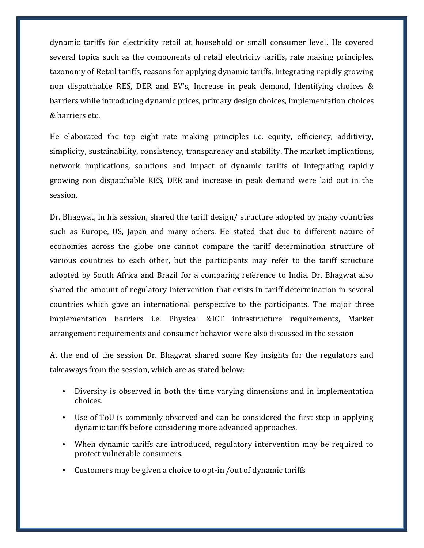dynamic tariffs for electricity retail at household or small consumer level. He covered several topics such as the components of retail electricity tariffs, rate making principles, taxonomy of Retail tariffs, reasons for applying dynamic tariffs, Integrating rapidly growing non dispatchable RES, DER and EV's, Increase in peak demand, Identifying choices & barriers while introducing dynamic prices, primary design choices, Implementation choices & barriers etc.

He elaborated the top eight rate making principles i.e. equity, efficiency, additivity, simplicity, sustainability, consistency, transparency and stability. The market implications, network implications, solutions and impact of dynamic tariffs of Integrating rapidly growing non dispatchable RES, DER and increase in peak demand were laid out in the session.

Dr. Bhagwat, in his session, shared the tariff design/ structure adopted by many countries such as Europe, US, Japan and many others. He stated that due to different nature of economies across the globe one cannot compare the tariff determination structure of various countries to each other, but the participants may refer to the tariff structure adopted by South Africa and Brazil for a comparing reference to India. Dr. Bhagwat also shared the amount of regulatory intervention that exists in tariff determination in several countries which gave an international perspective to the participants. The major three implementation barriers i.e. Physical &ICT infrastructure requirements, Market arrangement requirements and consumer behavior were also discussed in the session

At the end of the session Dr. Bhagwat shared some Key insights for the regulators and takeaways from the session, which are as stated below:

- Diversity is observed in both the time varying dimensions and in implementation choices.
- Use of ToU is commonly observed and can be considered the first step in applying dynamic tariffs before considering more advanced approaches.
- When dynamic tariffs are introduced, regulatory intervention may be required to protect vulnerable consumers.
- Customers may be given a choice to opt-in /out of dynamic tariffs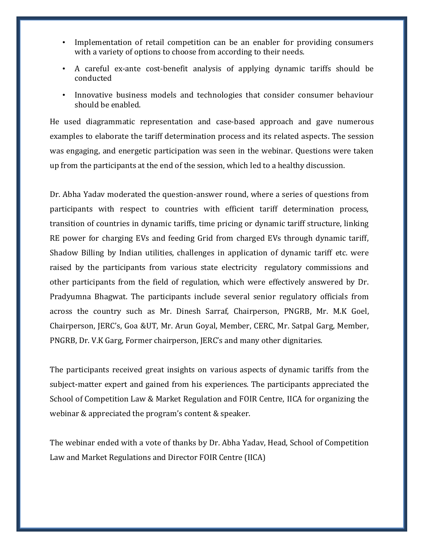- Implementation of retail competition can be an enabler for providing consumers with a variety of options to choose from according to their needs.
- A careful ex-ante cost-benefit analysis of applying dynamic tariffs should be conducted
- Innovative business models and technologies that consider consumer behaviour should be enabled.

He used diagrammatic representation and case-based approach and gave numerous examples to elaborate the tariff determination process and its related aspects. The session was engaging, and energetic participation was seen in the webinar. Questions were taken up from the participants at the end of the session, which led to a healthy discussion.

Dr. Abha Yadav moderated the question-answer round, where a series of questions from participants with respect to countries with efficient tariff determination process, transition of countries in dynamic tariffs, time pricing or dynamic tariff structure, linking RE power for charging EVs and feeding Grid from charged EVs through dynamic tariff, Shadow Billing by Indian utilities, challenges in application of dynamic tariff etc. were raised by the participants from various state electricity regulatory commissions and other participants from the field of regulation, which were effectively answered by Dr. Pradyumna Bhagwat. The participants include several senior regulatory officials from across the country such as Mr. Dinesh Sarraf, Chairperson, PNGRB, Mr. M.K Goel, Chairperson, JERC's, Goa &UT, Mr. Arun Goyal, Member, CERC, Mr. Satpal Garg, Member, PNGRB, Dr. V.K Garg, Former chairperson, JERC's and many other dignitaries.

The participants received great insights on various aspects of dynamic tariffs from the subject-matter expert and gained from his experiences. The participants appreciated the School of Competition Law & Market Regulation and FOIR Centre, IICA for organizing the webinar & appreciated the program's content & speaker.

The webinar ended with a vote of thanks by Dr. Abha Yadav, Head, School of Competition Law and Market Regulations and Director FOIR Centre (IICA)